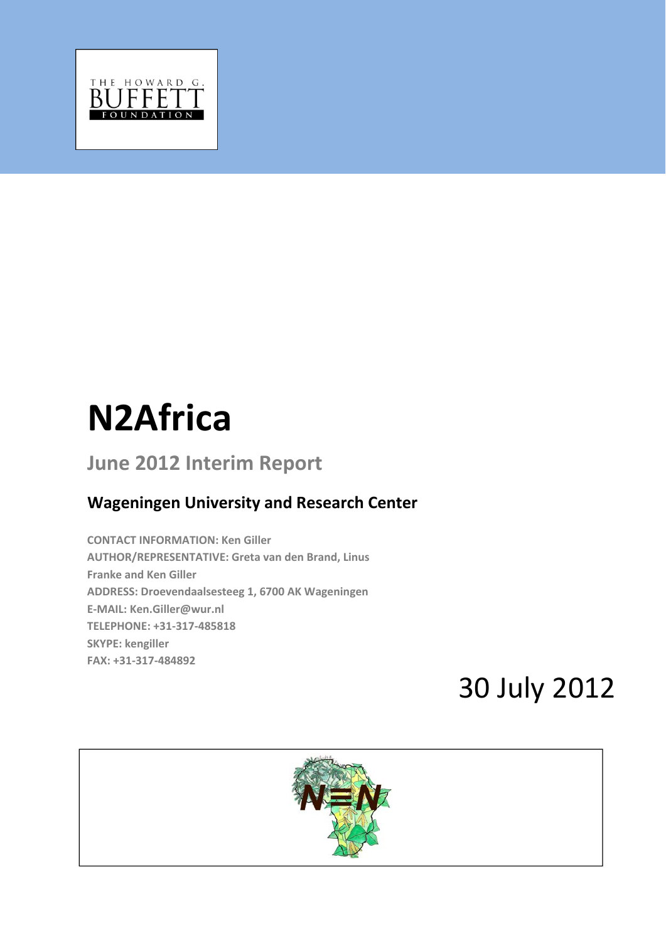

# **N2Africa**

# **June 2012 Interim Report**

# **Wageningen University and Research Center**

**CONTACT INFORMATION: Ken Giller AUTHOR/REPRESENTATIVE: Greta van den Brand, Linus Franke and Ken Giller ADDRESS: Droevendaalsesteeg 1, 6700 AK Wageningen E‐MAIL: Ken.Giller@wur.nl TELEPHONE: +31‐317‐485818 SKYPE: kengiller FAX: +31‐317‐484892**

# 30 July 2012

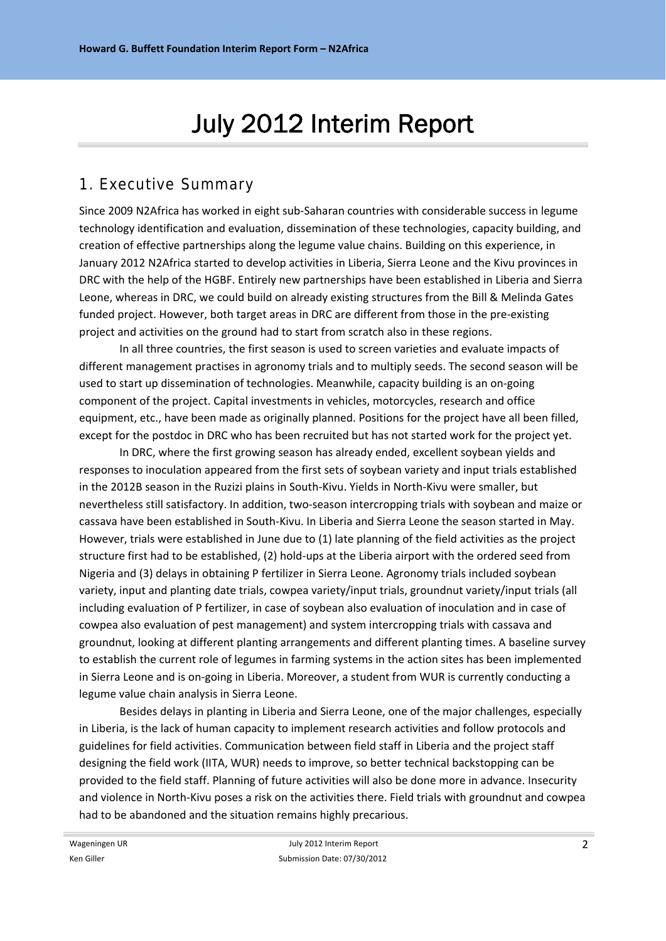# July 2012 Interim Report

# 1. Executive Summary

Since 2009 N2Africa has worked in eight sub‐Saharan countries with considerable success in legume technology identification and evaluation, dissemination of these technologies, capacity building, and creation of effective partnerships along the legume value chains. Building on this experience, in January 2012 N2Africa started to develop activities in Liberia, Sierra Leone and the Kivu provinces in DRC with the help of the HGBF. Entirely new partnerships have been established in Liberia and Sierra Leone, whereas in DRC, we could build on already existing structures from the Bill & Melinda Gates funded project. However, both target areas in DRC are different from those in the pre-existing project and activities on the ground had to start from scratch also in these regions.

In all three countries, the first season is used to screen varieties and evaluate impacts of different management practises in agronomy trials and to multiply seeds. The second season will be used to start up dissemination of technologies. Meanwhile, capacity building is an on‐going component of the project. Capital investments in vehicles, motorcycles, research and office equipment, etc., have been made as originally planned. Positions for the project have all been filled, except for the postdoc in DRC who has been recruited but has not started work for the project yet.

In DRC, where the first growing season has already ended, excellent soybean yields and responses to inoculation appeared from the first sets of soybean variety and input trials established in the 2012B season in the Ruzizi plains in South‐Kivu. Yields in North‐Kivu were smaller, but nevertheless still satisfactory. In addition, two‐season intercropping trials with soybean and maize or cassava have been established in South‐Kivu. In Liberia and Sierra Leone the season started in May. However, trials were established in June due to (1) late planning of the field activities as the project structure first had to be established, (2) hold‐ups at the Liberia airport with the ordered seed from Nigeria and (3) delays in obtaining P fertilizer in Sierra Leone. Agronomy trials included soybean variety, input and planting date trials, cowpea variety/input trials, groundnut variety/input trials (all including evaluation of P fertilizer, in case of soybean also evaluation of inoculation and in case of cowpea also evaluation of pest management) and system intercropping trials with cassava and groundnut, looking at different planting arrangements and different planting times. A baseline survey to establish the current role of legumes in farming systems in the action sites has been implemented in Sierra Leone and is on‐going in Liberia. Moreover, a student from WUR is currently conducting a legume value chain analysis in Sierra Leone.

Besides delays in planting in Liberia and Sierra Leone, one of the major challenges, especially in Liberia, is the lack of human capacity to implement research activities and follow protocols and guidelines for field activities. Communication between field staff in Liberia and the project staff designing the field work (IITA, WUR) needs to improve, so better technical backstopping can be provided to the field staff. Planning of future activities will also be done more in advance. Insecurity and violence in North‐Kivu poses a risk on the activities there. Field trials with groundnut and cowpea had to be abandoned and the situation remains highly precarious.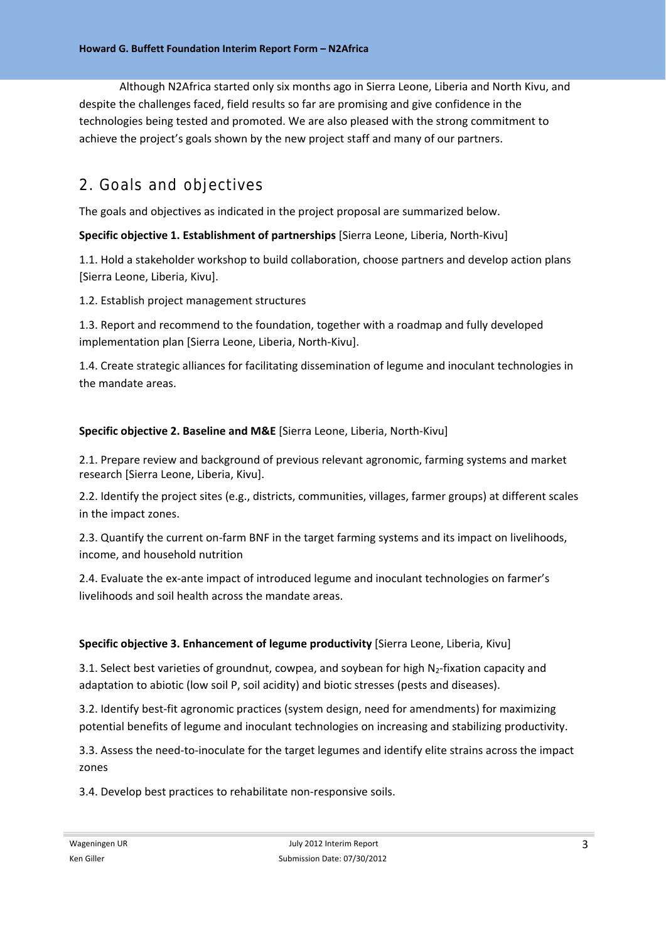Although N2Africa started only six months ago in Sierra Leone, Liberia and North Kivu, and despite the challenges faced, field results so far are promising and give confidence in the technologies being tested and promoted. We are also pleased with the strong commitment to achieve the project's goals shown by the new project staff and many of our partners.

# 2. Goals and objectives

The goals and objectives as indicated in the project proposal are summarized below.

#### **Specific objective 1. Establishment of partnerships** [Sierra Leone, Liberia, North‐Kivu]

1.1. Hold a stakeholder workshop to build collaboration, choose partners and develop action plans [Sierra Leone, Liberia, Kivu].

1.2. Establish project management structures

1.3. Report and recommend to the foundation, together with a roadmap and fully developed implementation plan [Sierra Leone, Liberia, North‐Kivu].

1.4. Create strategic alliances for facilitating dissemination of legume and inoculant technologies in the mandate areas.

#### **Specific objective 2. Baseline and M&E** [Sierra Leone, Liberia, North‐Kivu]

2.1. Prepare review and background of previous relevant agronomic, farming systems and market research [Sierra Leone, Liberia, Kivu].

2.2. Identify the project sites (e.g., districts, communities, villages, farmer groups) at different scales in the impact zones.

2.3. Quantify the current on-farm BNF in the target farming systems and its impact on livelihoods, income, and household nutrition

2.4. Evaluate the ex-ante impact of introduced legume and inoculant technologies on farmer's livelihoods and soil health across the mandate areas.

#### **Specific objective 3. Enhancement of legume productivity** [Sierra Leone, Liberia, Kivu]

3.1. Select best varieties of groundnut, cowpea, and soybean for high N<sub>2</sub>-fixation capacity and adaptation to abiotic (low soil P, soil acidity) and biotic stresses (pests and diseases).

3.2. Identify best‐fit agronomic practices (system design, need for amendments) for maximizing potential benefits of legume and inoculant technologies on increasing and stabilizing productivity.

3.3. Assess the need‐to‐inoculate for the target legumes and identify elite strains across the impact zones

3.4. Develop best practices to rehabilitate non‐responsive soils.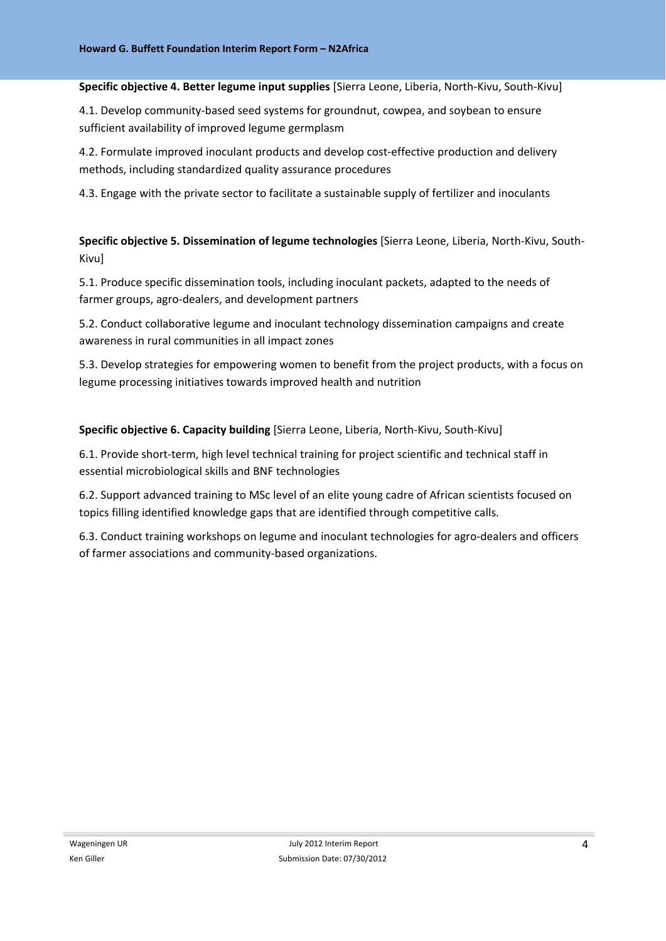#### **Specific objective 4. Better legume input supplies** [Sierra Leone, Liberia, North‐Kivu, South‐Kivu]

4.1. Develop community-based seed systems for groundnut, cowpea, and soybean to ensure sufficient availability of improved legume germplasm

4.2. Formulate improved inoculant products and develop cost-effective production and delivery methods, including standardized quality assurance procedures

4.3. Engage with the private sector to facilitate a sustainable supply of fertilizer and inoculants

**Specific objective 5. Dissemination of legume technologies** [Sierra Leone, Liberia, North‐Kivu, South‐ Kivu]

5.1. Produce specific dissemination tools, including inoculant packets, adapted to the needs of farmer groups, agro‐dealers, and development partners

5.2. Conduct collaborative legume and inoculant technology dissemination campaigns and create awareness in rural communities in all impact zones

5.3. Develop strategies for empowering women to benefit from the project products, with a focus on legume processing initiatives towards improved health and nutrition

**Specific objective 6. Capacity building** [Sierra Leone, Liberia, North‐Kivu, South‐Kivu]

6.1. Provide short‐term, high level technical training for project scientific and technical staff in essential microbiological skills and BNF technologies

6.2. Support advanced training to MSc level of an elite young cadre of African scientists focused on topics filling identified knowledge gaps that are identified through competitive calls.

6.3. Conduct training workshops on legume and inoculant technologies for agro‐dealers and officers of farmer associations and community‐based organizations.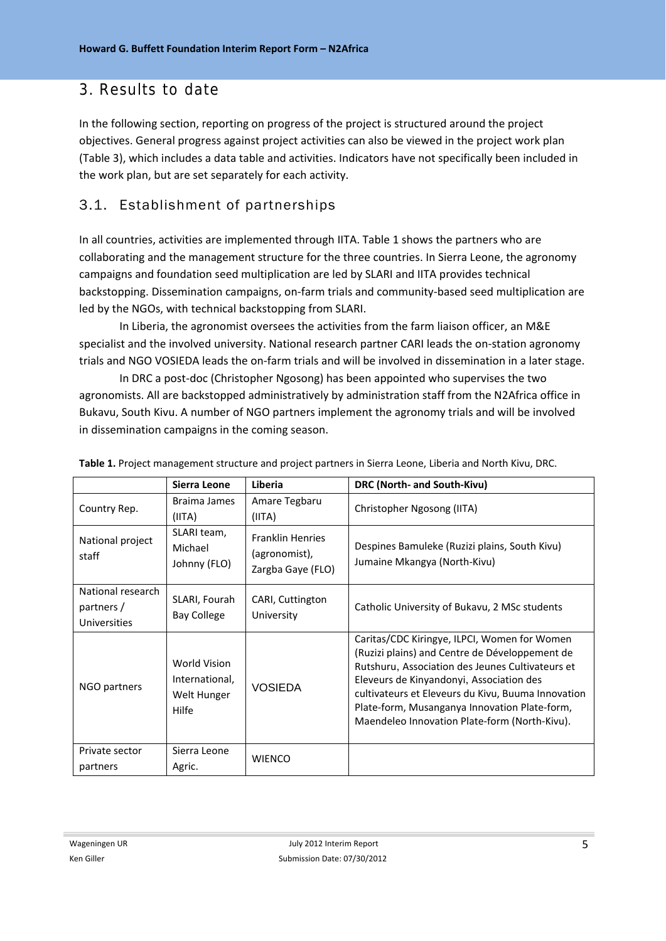## 3. Results to date

In the following section, reporting on progress of the project is structured around the project objectives. General progress against project activities can also be viewed in the project work plan (Table 3), which includes a data table and activities. Indicators have not specifically been included in the work plan, but are set separately for each activity.

## 3.1. Establishment of partnerships

In all countries, activities are implemented through IITA. Table 1 shows the partners who are collaborating and the management structure for the three countries. In Sierra Leone, the agronomy campaigns and foundation seed multiplication are led by SLARI and IITA provides technical backstopping. Dissemination campaigns, on‐farm trials and community‐based seed multiplication are led by the NGOs, with technical backstopping from SLARI.

In Liberia, the agronomist oversees the activities from the farm liaison officer, an M&E specialist and the involved university. National research partner CARI leads the on-station agronomy trials and NGO VOSIEDA leads the on‐farm trials and will be involved in dissemination in a later stage.

In DRC a post-doc (Christopher Ngosong) has been appointed who supervises the two agronomists. All are backstopped administratively by administration staff from the N2Africa office in Bukavu, South Kivu. A number of NGO partners implement the agronomy trials and will be involved in dissemination campaigns in the coming season.

|                                                 | Sierra Leone                                           | Liberia                                                       | DRC (North- and South-Kivu)                                                                                                                                                                                                                                                                                                                            |
|-------------------------------------------------|--------------------------------------------------------|---------------------------------------------------------------|--------------------------------------------------------------------------------------------------------------------------------------------------------------------------------------------------------------------------------------------------------------------------------------------------------------------------------------------------------|
| Country Rep.                                    | Braima James<br>(IITA)                                 | Amare Tegbaru<br>(IIIA)                                       | Christopher Ngosong (IITA)                                                                                                                                                                                                                                                                                                                             |
| National project<br>staff                       | SLARI team,<br>Michael<br>Johnny (FLO)                 | <b>Franklin Henries</b><br>(agronomist),<br>Zargba Gaye (FLO) | Despines Bamuleke (Ruzizi plains, South Kivu)<br>Jumaine Mkangya (North-Kivu)                                                                                                                                                                                                                                                                          |
| National research<br>partners /<br>Universities | SLARI, Fourah<br><b>Bay College</b>                    | CARI, Cuttington<br>University                                | Catholic University of Bukavu, 2 MSc students                                                                                                                                                                                                                                                                                                          |
| NGO partners                                    | World Vision<br>International,<br>Welt Hunger<br>Hilfe | <b>VOSIEDA</b>                                                | Caritas/CDC Kiringye, ILPCI, Women for Women<br>(Ruzizi plains) and Centre de Développement de<br>Rutshuru, Association des Jeunes Cultivateurs et<br>Eleveurs de Kinyandonyi, Association des<br>cultivateurs et Eleveurs du Kivu, Buuma Innovation<br>Plate-form, Musanganya Innovation Plate-form,<br>Maendeleo Innovation Plate-form (North-Kivu). |
| Private sector<br>partners                      | Sierra Leone<br>Agric.                                 | <b>WIENCO</b>                                                 |                                                                                                                                                                                                                                                                                                                                                        |

**Table 1.** Project management structure and project partners in Sierra Leone, Liberia and North Kivu, DRC.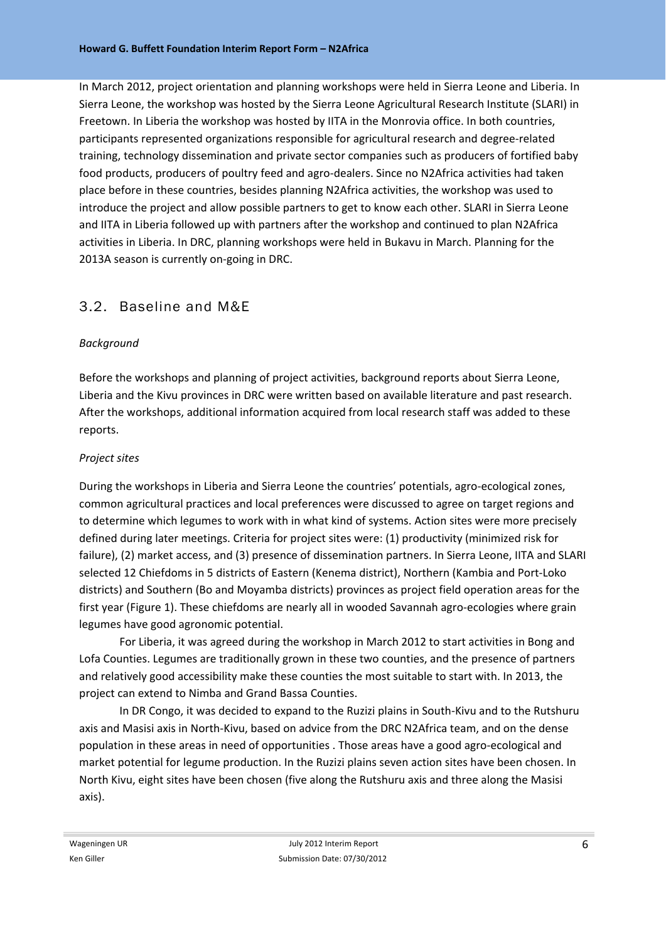In March 2012, project orientation and planning workshops were held in Sierra Leone and Liberia. In Sierra Leone, the workshop was hosted by the Sierra Leone Agricultural Research Institute (SLARI) in Freetown. In Liberia the workshop was hosted by IITA in the Monrovia office. In both countries, participants represented organizations responsible for agricultural research and degree‐related training, technology dissemination and private sector companies such as producers of fortified baby food products, producers of poultry feed and agro-dealers. Since no N2Africa activities had taken place before in these countries, besides planning N2Africa activities, the workshop was used to introduce the project and allow possible partners to get to know each other. SLARI in Sierra Leone and IITA in Liberia followed up with partners after the workshop and continued to plan N2Africa activities in Liberia. In DRC, planning workshops were held in Bukavu in March. Planning for the 2013A season is currently on‐going in DRC.

#### 3.2. Baseline and M&E

#### *Background*

Before the workshops and planning of project activities, background reports about Sierra Leone, Liberia and the Kivu provinces in DRC were written based on available literature and past research. After the workshops, additional information acquired from local research staff was added to these reports.

#### *Project sites*

During the workshops in Liberia and Sierra Leone the countries' potentials, agro-ecological zones, common agricultural practices and local preferences were discussed to agree on target regions and to determine which legumes to work with in what kind of systems. Action sites were more precisely defined during later meetings. Criteria for project sites were: (1) productivity (minimized risk for failure), (2) market access, and (3) presence of dissemination partners. In Sierra Leone, IITA and SLARI selected 12 Chiefdoms in 5 districts of Eastern (Kenema district), Northern (Kambia and Port‐Loko districts) and Southern (Bo and Moyamba districts) provinces as project field operation areas for the first year (Figure 1). These chiefdoms are nearly all in wooded Savannah agro-ecologies where grain legumes have good agronomic potential.

For Liberia, it was agreed during the workshop in March 2012 to start activities in Bong and Lofa Counties. Legumes are traditionally grown in these two counties, and the presence of partners and relatively good accessibility make these counties the most suitable to start with. In 2013, the project can extend to Nimba and Grand Bassa Counties.

In DR Congo, it was decided to expand to the Ruzizi plains in South‐Kivu and to the Rutshuru axis and Masisi axis in North‐Kivu, based on advice from the DRC N2Africa team, and on the dense population in these areas in need of opportunities . Those areas have a good agro‐ecological and market potential for legume production. In the Ruzizi plains seven action sites have been chosen. In North Kivu, eight sites have been chosen (five along the Rutshuru axis and three along the Masisi axis).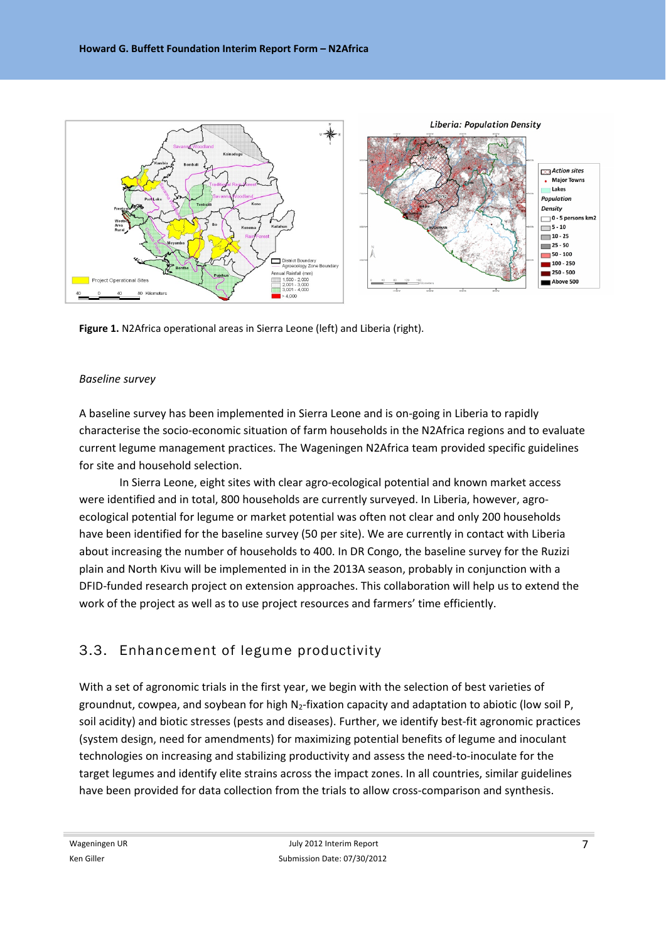

**Figure 1.** N2Africa operational areas in Sierra Leone (left) and Liberia (right).

#### *Baseline survey*

A baseline survey has been implemented in Sierra Leone and is on‐going in Liberia to rapidly characterise the socio‐economic situation of farm households in the N2Africa regions and to evaluate current legume management practices. The Wageningen N2Africa team provided specific guidelines for site and household selection.

In Sierra Leone, eight sites with clear agro‐ecological potential and known market access were identified and in total, 800 households are currently surveyed. In Liberia, however, agroecological potential for legume or market potential was often not clear and only 200 households have been identified for the baseline survey (50 per site). We are currently in contact with Liberia about increasing the number of households to 400. In DR Congo, the baseline survey for the Ruzizi plain and North Kivu will be implemented in in the 2013A season, probably in conjunction with a DFID‐funded research project on extension approaches. This collaboration will help us to extend the work of the project as well as to use project resources and farmers' time efficiently.

### 3.3. Enhancement of legume productivity

With a set of agronomic trials in the first year, we begin with the selection of best varieties of groundnut, cowpea, and soybean for high  $N_2$ -fixation capacity and adaptation to abiotic (low soil P, soil acidity) and biotic stresses (pests and diseases). Further, we identify best-fit agronomic practices (system design, need for amendments) for maximizing potential benefits of legume and inoculant technologies on increasing and stabilizing productivity and assess the need‐to‐inoculate for the target legumes and identify elite strains across the impact zones. In all countries, similar guidelines have been provided for data collection from the trials to allow cross-comparison and synthesis.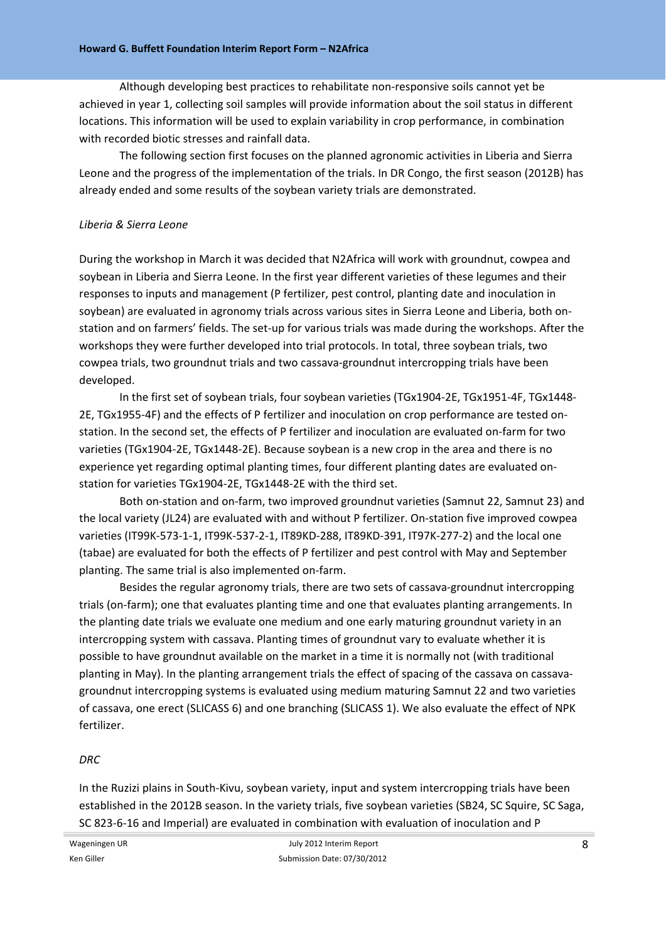Although developing best practices to rehabilitate non‐responsive soils cannot yet be achieved in year 1, collecting soil samples will provide information about the soil status in different locations. This information will be used to explain variability in crop performance, in combination with recorded biotic stresses and rainfall data.

The following section first focuses on the planned agronomic activities in Liberia and Sierra Leone and the progress of the implementation of the trials. In DR Congo, the first season (2012B) has already ended and some results of the soybean variety trials are demonstrated.

#### *Liberia & Sierra Leone*

During the workshop in March it was decided that N2Africa will work with groundnut, cowpea and soybean in Liberia and Sierra Leone. In the first year different varieties of these legumes and their responses to inputs and management (P fertilizer, pest control, planting date and inoculation in soybean) are evaluated in agronomy trials across various sites in Sierra Leone and Liberia, both onstation and on farmers' fields. The set‐up for various trials was made during the workshops. After the workshops they were further developed into trial protocols. In total, three soybean trials, two cowpea trials, two groundnut trials and two cassava‐groundnut intercropping trials have been developed.

In the first set of soybean trials, four soybean varieties (TGx1904‐2E, TGx1951‐4F, TGx1448‐ 2E, TGx1955‐4F) and the effects of P fertilizer and inoculation on crop performance are tested on‐ station. In the second set, the effects of P fertilizer and inoculation are evaluated on‐farm for two varieties (TGx1904‐2E, TGx1448‐2E). Because soybean is a new crop in the area and there is no experience yet regarding optimal planting times, four different planting dates are evaluated on‐ station for varieties TGx1904‐2E, TGx1448‐2E with the third set.

Both on‐station and on‐farm, two improved groundnut varieties (Samnut 22, Samnut 23) and the local variety (JL24) are evaluated with and without P fertilizer. On‐station five improved cowpea varieties (IT99K‐573‐1‐1, IT99K‐537‐2‐1, IT89KD‐288, IT89KD‐391, IT97K‐277‐2) and the local one (tabae) are evaluated for both the effects of P fertilizer and pest control with May and September planting. The same trial is also implemented on‐farm.

Besides the regular agronomy trials, there are two sets of cassava‐groundnut intercropping trials (on-farm); one that evaluates planting time and one that evaluates planting arrangements. In the planting date trials we evaluate one medium and one early maturing groundnut variety in an intercropping system with cassava. Planting times of groundnut vary to evaluate whether it is possible to have groundnut available on the market in a time it is normally not (with traditional planting in May). In the planting arrangement trials the effect of spacing of the cassava on cassava‐ groundnut intercropping systems is evaluated using medium maturing Samnut 22 and two varieties of cassava, one erect (SLICASS 6) and one branching (SLICASS 1). We also evaluate the effect of NPK fertilizer.

#### *DRC*

In the Ruzizi plains in South-Kivu, soybean variety, input and system intercropping trials have been established in the 2012B season. In the variety trials, five soybean varieties (SB24, SC Squire, SC Saga, SC 823‐6‐16 and Imperial) are evaluated in combination with evaluation of inoculation and P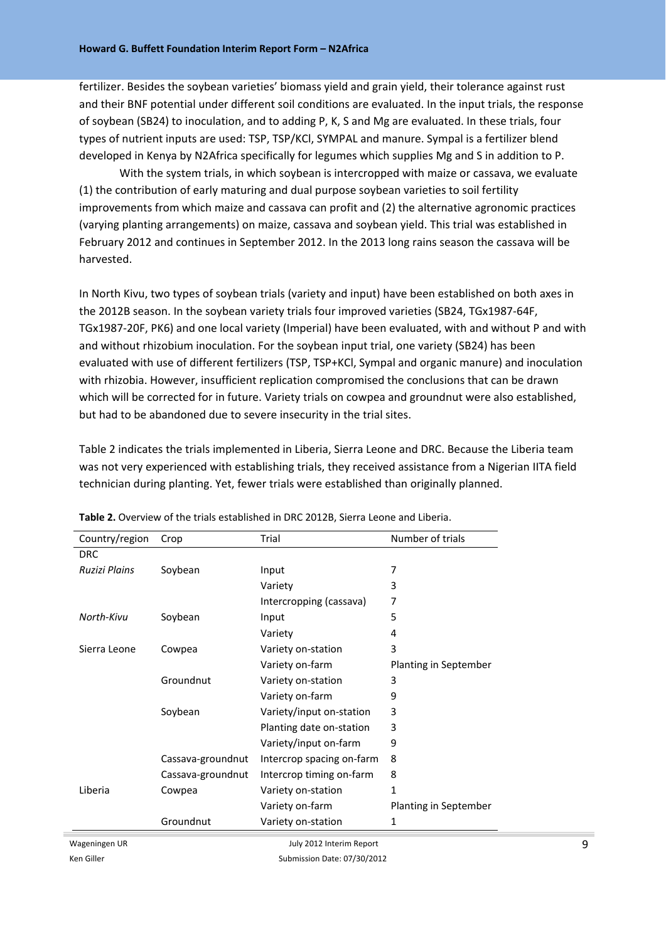fertilizer. Besides the soybean varieties' biomass yield and grain yield, their tolerance against rust and their BNF potential under different soil conditions are evaluated. In the input trials, the response of soybean (SB24) to inoculation, and to adding P, K, S and Mg are evaluated. In these trials, four types of nutrient inputs are used: TSP, TSP/KCl, SYMPAL and manure. Sympal is a fertilizer blend developed in Kenya by N2Africa specifically for legumes which supplies Mg and S in addition to P.

With the system trials, in which soybean is intercropped with maize or cassava, we evaluate (1) the contribution of early maturing and dual purpose soybean varieties to soil fertility improvements from which maize and cassava can profit and (2) the alternative agronomic practices (varying planting arrangements) on maize, cassava and soybean yield. This trial was established in February 2012 and continues in September 2012. In the 2013 long rains season the cassava will be harvested.

In North Kivu, two types of soybean trials (variety and input) have been established on both axes in the 2012B season. In the soybean variety trials four improved varieties (SB24, TGx1987‐64F, TGx1987‐20F, PK6) and one local variety (Imperial) have been evaluated, with and without P and with and without rhizobium inoculation. For the soybean input trial, one variety (SB24) has been evaluated with use of different fertilizers (TSP, TSP+KCl, Sympal and organic manure) and inoculation with rhizobia. However, insufficient replication compromised the conclusions that can be drawn which will be corrected for in future. Variety trials on cowpea and groundnut were also established, but had to be abandoned due to severe insecurity in the trial sites.

Table 2 indicates the trials implemented in Liberia, Sierra Leone and DRC. Because the Liberia team was not very experienced with establishing trials, they received assistance from a Nigerian IITA field technician during planting. Yet, fewer trials were established than originally planned.

| Country/region | Crop              | Trial                     | Number of trials      |
|----------------|-------------------|---------------------------|-----------------------|
| <b>DRC</b>     |                   |                           |                       |
| Ruzizi Plains  | Soybean           | Input                     | 7                     |
|                |                   | Variety                   | 3                     |
|                |                   | Intercropping (cassava)   | 7                     |
| North-Kivu     | Soybean           | Input                     | 5                     |
|                |                   | Variety                   | 4                     |
| Sierra Leone   | Cowpea            | Variety on-station        | 3                     |
|                |                   | Variety on-farm           | Planting in September |
|                | Groundnut         | Variety on-station        | 3                     |
|                |                   | Variety on-farm           | 9                     |
|                | Soybean           | Variety/input on-station  | 3                     |
|                |                   | Planting date on-station  | 3                     |
|                |                   | Variety/input on-farm     | 9                     |
|                | Cassava-groundnut | Intercrop spacing on-farm | 8                     |
|                | Cassava-groundnut | Intercrop timing on-farm  | 8                     |
| Liberia        | Cowpea            | Variety on-station        | 1                     |
|                |                   | Variety on-farm           | Planting in September |
|                | Groundnut         | Variety on-station        | 1                     |
| Wageningen UR  |                   | July 2012 Interim Report  |                       |

**Table 2.** Overview of the trials established in DRC 2012B, Sierra Leone and Liberia.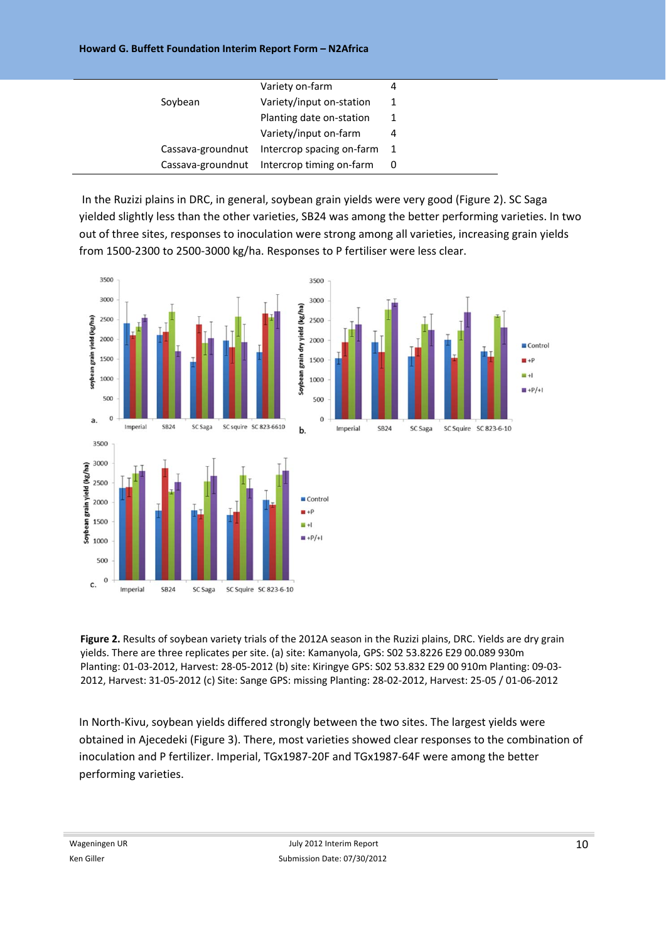#### **Howard G. Buffett Foundation Interim Report Form – N2Africa**

|         | Variety on-farm                               |  |
|---------|-----------------------------------------------|--|
| Soybean | Variety/input on-station                      |  |
|         | Planting date on-station                      |  |
|         | Variety/input on-farm                         |  |
|         | Cassava-groundnut Intercrop spacing on-farm 1 |  |
|         | Cassava-groundnut Intercrop timing on-farm 0  |  |

In the Ruzizi plains in DRC, in general, soybean grain yields were very good (Figure 2). SC Saga yielded slightly less than the other varieties, SB24 was among the better performing varieties. In two out of three sites, responses to inoculation were strong among all varieties, increasing grain yields from 1500‐2300 to 2500‐3000 kg/ha. Responses to P fertiliser were less clear.



**Figure 2.** Results of soybean variety trials of the 2012A season in the Ruzizi plains, DRC. Yields are dry grain yields. There are three replicates per site. (a) site: Kamanyola, GPS: S02 53.8226 E29 00.089 930m Planting: 01‐03‐2012, Harvest: 28‐05‐2012 (b) site: Kiringye GPS: S02 53.832 E29 00 910m Planting: 09‐03‐ 2012, Harvest: 31‐05‐2012 (c) Site: Sange GPS: missing Planting: 28‐02‐2012, Harvest: 25‐05 / 01‐06‐2012

In North-Kivu, soybean yields differed strongly between the two sites. The largest yields were obtained in Ajecedeki (Figure 3). There, most varieties showed clear responses to the combination of inoculation and P fertilizer. Imperial, TGx1987‐20F and TGx1987‐64F were among the better performing varieties.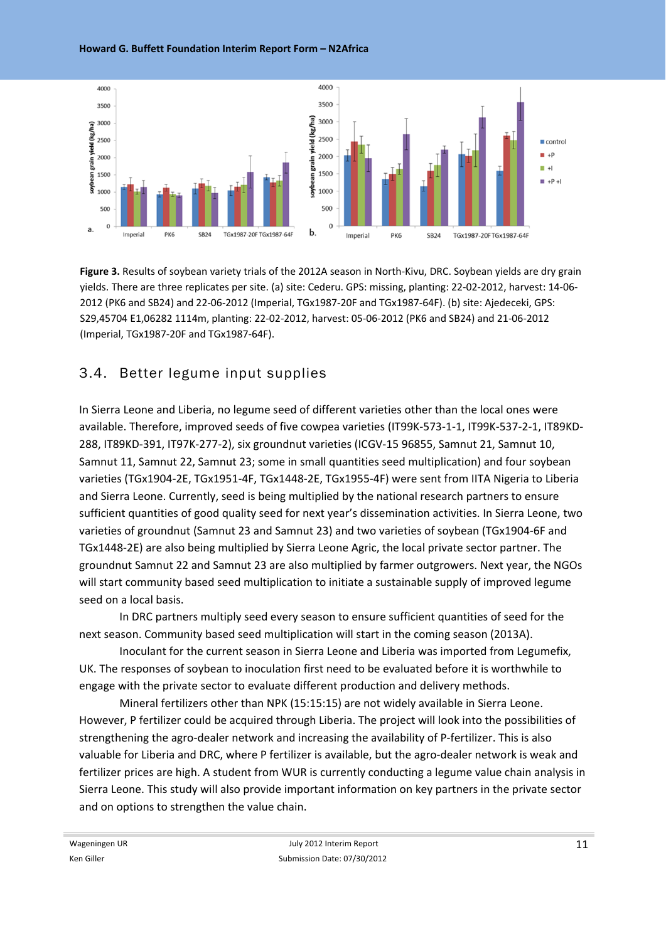**Howard G. Buffett Foundation Interim Report Form – N2Africa**



**Figure 3.** Results of soybean variety trials of the 2012A season in North‐Kivu, DRC. Soybean yields are dry grain yields. There are three replicates per site. (a) site: Cederu. GPS: missing, planting: 22‐02‐2012, harvest: 14‐06‐ 2012 (PK6 and SB24) and 22‐06‐2012 (Imperial, TGx1987‐20F and TGx1987‐64F). (b) site: Ajedeceki, GPS: S29,45704 E1,06282 1114m, planting: 22‐02‐2012, harvest: 05‐06‐2012 (PK6 and SB24) and 21‐06‐2012 (Imperial, TGx1987‐20F and TGx1987‐64F).

## 3.4. Better legume input supplies

In Sierra Leone and Liberia, no legume seed of different varieties other than the local ones were available. Therefore, improved seeds of five cowpea varieties (IT99K‐573‐1‐1, IT99K‐537‐2‐1, IT89KD‐ 288, IT89KD‐391, IT97K‐277‐2), six groundnut varieties (ICGV‐15 96855, Samnut 21, Samnut 10, Samnut 11, Samnut 22, Samnut 23; some in small quantities seed multiplication) and four soybean varieties (TGx1904‐2E, TGx1951‐4F, TGx1448‐2E, TGx1955‐4F) were sent from IITA Nigeria to Liberia and Sierra Leone. Currently, seed is being multiplied by the national research partners to ensure sufficient quantities of good quality seed for next year's dissemination activities. In Sierra Leone, two varieties of groundnut (Samnut 23 and Samnut 23) and two varieties of soybean (TGx1904‐6F and TGx1448‐2E) are also being multiplied by Sierra Leone Agric, the local private sector partner. The groundnut Samnut 22 and Samnut 23 are also multiplied by farmer outgrowers. Next year, the NGOs will start community based seed multiplication to initiate a sustainable supply of improved legume seed on a local basis.

In DRC partners multiply seed every season to ensure sufficient quantities of seed for the next season. Community based seed multiplication will start in the coming season (2013A).

Inoculant for the current season in Sierra Leone and Liberia was imported from Legumefix, UK. The responses of soybean to inoculation first need to be evaluated before it is worthwhile to engage with the private sector to evaluate different production and delivery methods.

Mineral fertilizers other than NPK (15:15:15) are not widely available in Sierra Leone. However, P fertilizer could be acquired through Liberia. The project will look into the possibilities of strengthening the agro-dealer network and increasing the availability of P-fertilizer. This is also valuable for Liberia and DRC, where P fertilizer is available, but the agro‐dealer network is weak and fertilizer prices are high. A student from WUR is currently conducting a legume value chain analysis in Sierra Leone. This study will also provide important information on key partners in the private sector and on options to strengthen the value chain.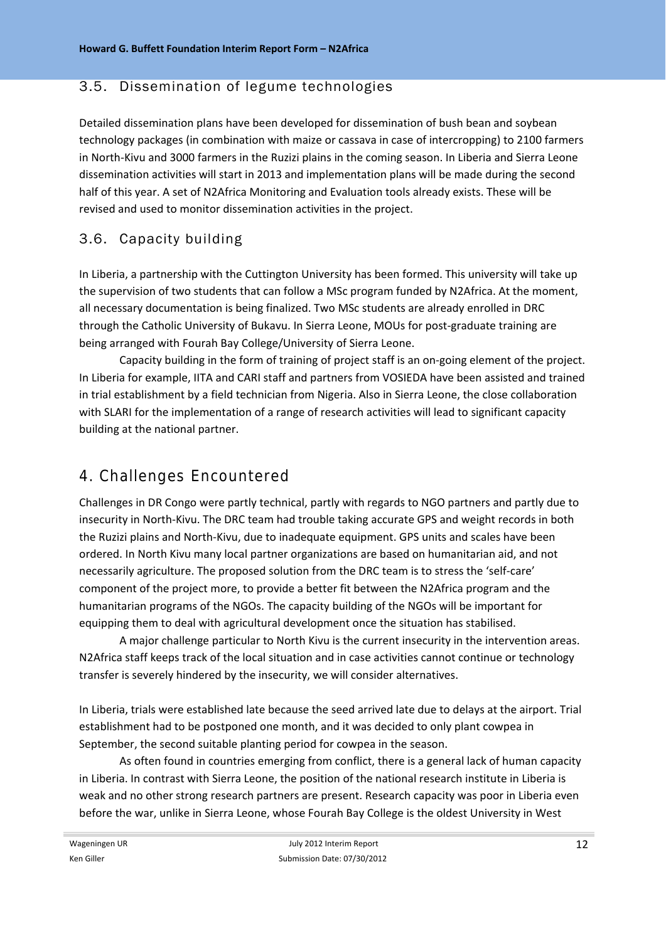### 3.5. Dissemination of legume technologies

Detailed dissemination plans have been developed for dissemination of bush bean and soybean technology packages (in combination with maize or cassava in case of intercropping) to 2100 farmers in North‐Kivu and 3000 farmers in the Ruzizi plains in the coming season. In Liberia and Sierra Leone dissemination activities will start in 2013 and implementation plans will be made during the second half of this year. A set of N2Africa Monitoring and Evaluation tools already exists. These will be revised and used to monitor dissemination activities in the project.

## 3.6. Capacity building

In Liberia, a partnership with the Cuttington University has been formed. This university will take up the supervision of two students that can follow a MSc program funded by N2Africa. At the moment, all necessary documentation is being finalized. Two MSc students are already enrolled in DRC through the Catholic University of Bukavu. In Sierra Leone, MOUs for post‐graduate training are being arranged with Fourah Bay College/University of Sierra Leone.

Capacity building in the form of training of project staff is an on‐going element of the project. In Liberia for example, IITA and CARI staff and partners from VOSIEDA have been assisted and trained in trial establishment by a field technician from Nigeria. Also in Sierra Leone, the close collaboration with SLARI for the implementation of a range of research activities will lead to significant capacity building at the national partner.

# 4. Challenges Encountered

Challenges in DR Congo were partly technical, partly with regards to NGO partners and partly due to insecurity in North‐Kivu. The DRC team had trouble taking accurate GPS and weight records in both the Ruzizi plains and North‐Kivu, due to inadequate equipment. GPS units and scales have been ordered. In North Kivu many local partner organizations are based on humanitarian aid, and not necessarily agriculture. The proposed solution from the DRC team is to stress the 'self‐care' component of the project more, to provide a better fit between the N2Africa program and the humanitarian programs of the NGOs. The capacity building of the NGOs will be important for equipping them to deal with agricultural development once the situation has stabilised.

A major challenge particular to North Kivu is the current insecurity in the intervention areas. N2Africa staff keeps track of the local situation and in case activities cannot continue or technology transfer is severely hindered by the insecurity, we will consider alternatives.

In Liberia, trials were established late because the seed arrived late due to delays at the airport. Trial establishment had to be postponed one month, and it was decided to only plant cowpea in September, the second suitable planting period for cowpea in the season.

As often found in countries emerging from conflict, there is a general lack of human capacity in Liberia. In contrast with Sierra Leone, the position of the national research institute in Liberia is weak and no other strong research partners are present. Research capacity was poor in Liberia even before the war, unlike in Sierra Leone, whose Fourah Bay College is the oldest University in West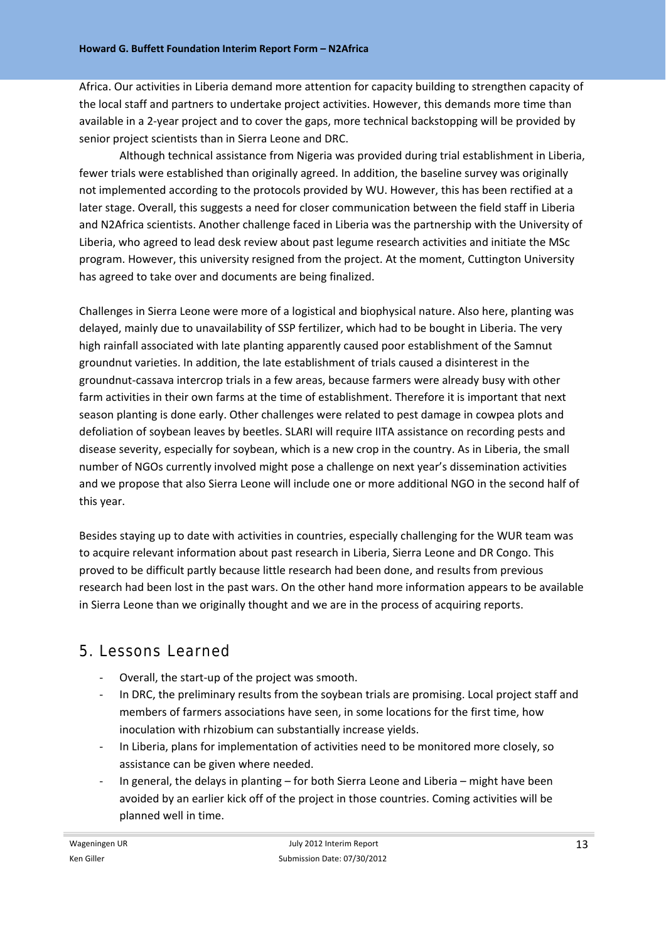Africa. Our activities in Liberia demand more attention for capacity building to strengthen capacity of the local staff and partners to undertake project activities. However, this demands more time than available in a 2‐year project and to cover the gaps, more technical backstopping will be provided by senior project scientists than in Sierra Leone and DRC.

Although technical assistance from Nigeria was provided during trial establishment in Liberia, fewer trials were established than originally agreed. In addition, the baseline survey was originally not implemented according to the protocols provided by WU. However, this has been rectified at a later stage. Overall, this suggests a need for closer communication between the field staff in Liberia and N2Africa scientists. Another challenge faced in Liberia was the partnership with the University of Liberia, who agreed to lead desk review about past legume research activities and initiate the MSc program. However, this university resigned from the project. At the moment, Cuttington University has agreed to take over and documents are being finalized.

Challenges in Sierra Leone were more of a logistical and biophysical nature. Also here, planting was delayed, mainly due to unavailability of SSP fertilizer, which had to be bought in Liberia. The very high rainfall associated with late planting apparently caused poor establishment of the Samnut groundnut varieties. In addition, the late establishment of trials caused a disinterest in the groundnut‐cassava intercrop trials in a few areas, because farmers were already busy with other farm activities in their own farms at the time of establishment. Therefore it is important that next season planting is done early. Other challenges were related to pest damage in cowpea plots and defoliation of soybean leaves by beetles. SLARI will require IITA assistance on recording pests and disease severity, especially for soybean, which is a new crop in the country. As in Liberia, the small number of NGOs currently involved might pose a challenge on next year's dissemination activities and we propose that also Sierra Leone will include one or more additional NGO in the second half of this year.

Besides staying up to date with activities in countries, especially challenging for the WUR team was to acquire relevant information about past research in Liberia, Sierra Leone and DR Congo. This proved to be difficult partly because little research had been done, and results from previous research had been lost in the past wars. On the other hand more information appears to be available in Sierra Leone than we originally thought and we are in the process of acquiring reports.

# 5. Lessons Learned

- ‐ Overall, the start‐up of the project was smooth.
- ‐ In DRC, the preliminary results from the soybean trials are promising. Local project staff and members of farmers associations have seen, in some locations for the first time, how inoculation with rhizobium can substantially increase yields.
- In Liberia, plans for implementation of activities need to be monitored more closely, so assistance can be given where needed.
- In general, the delays in planting for both Sierra Leone and Liberia might have been avoided by an earlier kick off of the project in those countries. Coming activities will be planned well in time.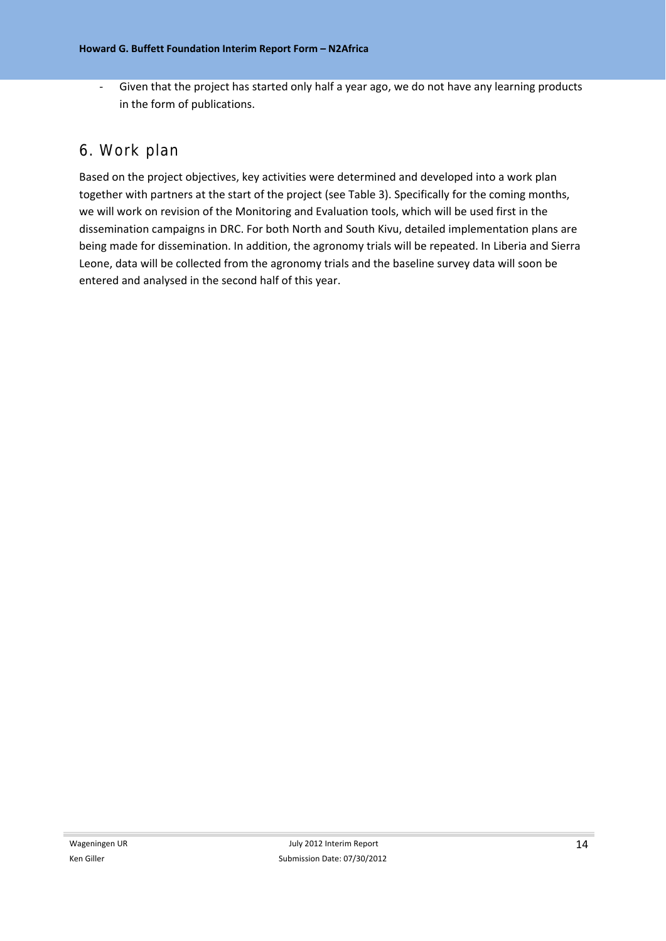‐ Given that the project has started only half a year ago, we do not have any learning products in the form of publications.

## 6. Work plan

Based on the project objectives, key activities were determined and developed into a work plan together with partners at the start of the project (see Table 3). Specifically for the coming months, we will work on revision of the Monitoring and Evaluation tools, which will be used first in the dissemination campaigns in DRC. For both North and South Kivu, detailed implementation plans are being made for dissemination. In addition, the agronomy trials will be repeated. In Liberia and Sierra Leone, data will be collected from the agronomy trials and the baseline survey data will soon be entered and analysed in the second half of this year.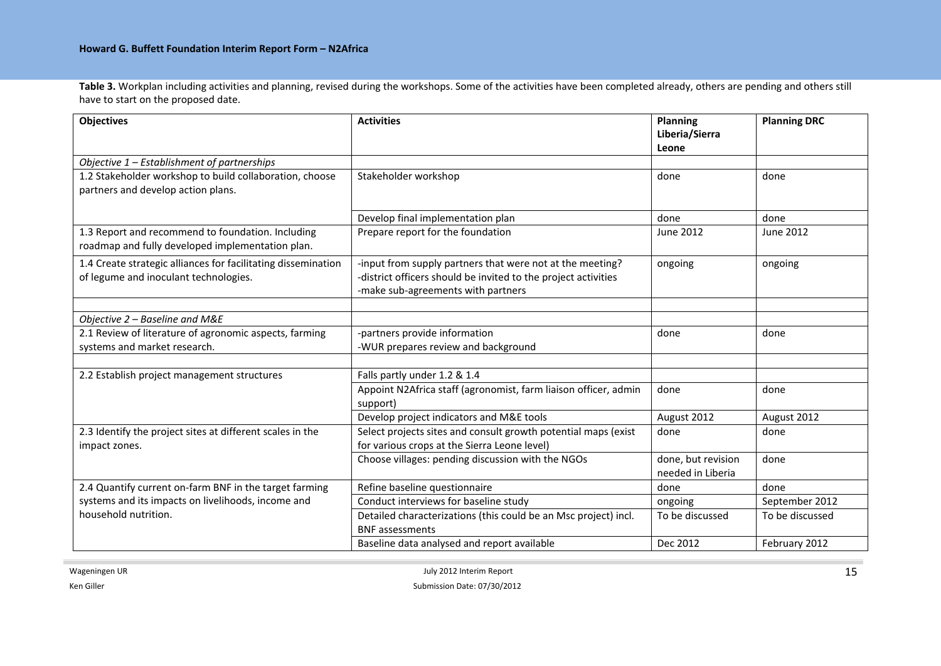**Table 3.** Workplan including activities and planning, revised during the workshops. Some of the activities have been completed already, others are pending and others still have to start on the proposed date.

| <b>Objectives</b>                                                                                      | <b>Activities</b>                                                                                                                                                 | Planning<br>Liberia/Sierra<br>Leone     | <b>Planning DRC</b> |
|--------------------------------------------------------------------------------------------------------|-------------------------------------------------------------------------------------------------------------------------------------------------------------------|-----------------------------------------|---------------------|
| Objective $1$ – Establishment of partnerships                                                          |                                                                                                                                                                   |                                         |                     |
| 1.2 Stakeholder workshop to build collaboration, choose<br>partners and develop action plans.          | Stakeholder workshop                                                                                                                                              | done                                    | done                |
|                                                                                                        | Develop final implementation plan                                                                                                                                 | done                                    | done                |
| 1.3 Report and recommend to foundation. Including<br>roadmap and fully developed implementation plan.  | Prepare report for the foundation                                                                                                                                 | June 2012                               | June 2012           |
| 1.4 Create strategic alliances for facilitating dissemination<br>of legume and inoculant technologies. | -input from supply partners that were not at the meeting?<br>-district officers should be invited to the project activities<br>-make sub-agreements with partners | ongoing                                 | ongoing             |
|                                                                                                        |                                                                                                                                                                   |                                         |                     |
| Objective 2 - Baseline and M&E                                                                         |                                                                                                                                                                   |                                         |                     |
| 2.1 Review of literature of agronomic aspects, farming<br>systems and market research.                 | -partners provide information<br>-WUR prepares review and background                                                                                              | done                                    | done                |
|                                                                                                        |                                                                                                                                                                   |                                         |                     |
| 2.2 Establish project management structures                                                            | Falls partly under 1.2 & 1.4                                                                                                                                      |                                         |                     |
|                                                                                                        | Appoint N2Africa staff (agronomist, farm liaison officer, admin<br>support)                                                                                       | done                                    | done                |
|                                                                                                        | Develop project indicators and M&E tools                                                                                                                          | August 2012                             | August 2012         |
| 2.3 Identify the project sites at different scales in the<br>impact zones.                             | Select projects sites and consult growth potential maps (exist<br>for various crops at the Sierra Leone level)                                                    | done                                    | done                |
|                                                                                                        | Choose villages: pending discussion with the NGOs                                                                                                                 | done, but revision<br>needed in Liberia | done                |
| 2.4 Quantify current on-farm BNF in the target farming                                                 | Refine baseline questionnaire                                                                                                                                     | done                                    | done                |
| systems and its impacts on livelihoods, income and                                                     | Conduct interviews for baseline study                                                                                                                             | ongoing                                 | September 2012      |
| household nutrition.                                                                                   | Detailed characterizations (this could be an Msc project) incl.<br>To be discussed<br><b>BNF</b> assessments                                                      |                                         | To be discussed     |
|                                                                                                        | Baseline data analysed and report available                                                                                                                       | Dec 2012                                | February 2012       |

 $\sim$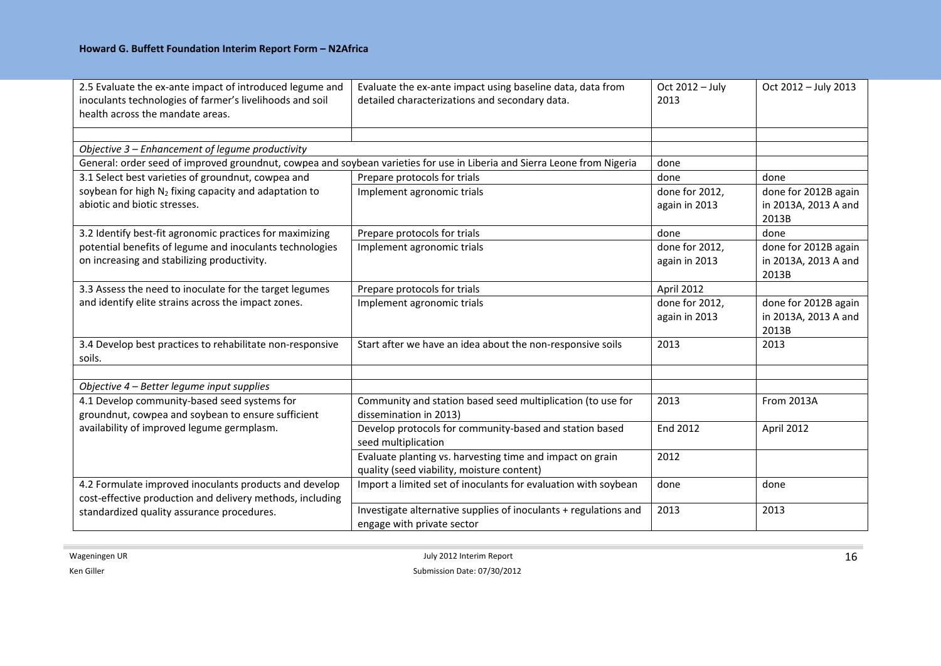| 2.5 Evaluate the ex-ante impact of introduced legume and<br>inoculants technologies of farmer's livelihoods and soil<br>health across the mandate areas. | Evaluate the ex-ante impact using baseline data, data from<br>detailed characterizations and secondary data. | Oct 2012 - July<br>2013         | Oct 2012 - July 2013                                  |
|----------------------------------------------------------------------------------------------------------------------------------------------------------|--------------------------------------------------------------------------------------------------------------|---------------------------------|-------------------------------------------------------|
|                                                                                                                                                          |                                                                                                              |                                 |                                                       |
| Objective 3 - Enhancement of legume productivity                                                                                                         |                                                                                                              | done                            |                                                       |
| General: order seed of improved groundnut, cowpea and soybean varieties for use in Liberia and Sierra Leone from Nigeria                                 |                                                                                                              |                                 |                                                       |
| 3.1 Select best varieties of groundnut, cowpea and                                                                                                       | Prepare protocols for trials                                                                                 | done                            | done                                                  |
| soybean for high $N_2$ fixing capacity and adaptation to<br>abiotic and biotic stresses.                                                                 | Implement agronomic trials                                                                                   | done for 2012,<br>again in 2013 | done for 2012B again<br>in 2013A, 2013 A and<br>2013B |
| 3.2 Identify best-fit agronomic practices for maximizing                                                                                                 | Prepare protocols for trials                                                                                 | done                            | done                                                  |
| potential benefits of legume and inoculants technologies<br>on increasing and stabilizing productivity.                                                  | Implement agronomic trials                                                                                   | done for 2012,<br>again in 2013 | done for 2012B again<br>in 2013A, 2013 A and<br>2013B |
| 3.3 Assess the need to inoculate for the target legumes                                                                                                  | Prepare protocols for trials                                                                                 | April 2012                      |                                                       |
| and identify elite strains across the impact zones.                                                                                                      | Implement agronomic trials                                                                                   | done for 2012,<br>again in 2013 | done for 2012B again<br>in 2013A, 2013 A and<br>2013B |
| 3.4 Develop best practices to rehabilitate non-responsive<br>soils.                                                                                      | Start after we have an idea about the non-responsive soils                                                   | 2013                            | 2013                                                  |
| Objective 4 - Better legume input supplies                                                                                                               |                                                                                                              |                                 |                                                       |
| 4.1 Develop community-based seed systems for<br>groundnut, cowpea and soybean to ensure sufficient                                                       | Community and station based seed multiplication (to use for<br>dissemination in 2013)                        | 2013                            | From 2013A                                            |
| availability of improved legume germplasm.                                                                                                               | Develop protocols for community-based and station based<br>seed multiplication                               | <b>End 2012</b>                 | April 2012                                            |
|                                                                                                                                                          | Evaluate planting vs. harvesting time and impact on grain<br>quality (seed viability, moisture content)      | 2012                            |                                                       |
| 4.2 Formulate improved inoculants products and develop<br>cost-effective production and delivery methods, including                                      | Import a limited set of inoculants for evaluation with soybean                                               | done                            | done                                                  |
| standardized quality assurance procedures.                                                                                                               | Investigate alternative supplies of inoculants + regulations and<br>engage with private sector               | 2013                            | 2013                                                  |

Ken Giller

 $\mathcal{L}_{\mathcal{A}}$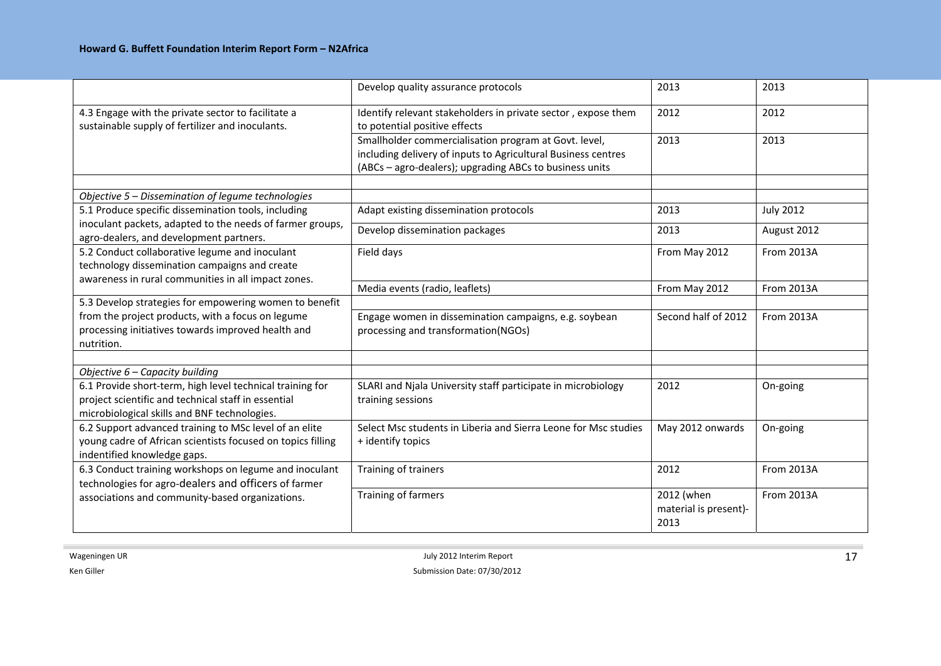|                                                                                                                                                                  | Develop quality assurance protocols                                                                                                                                               | 2013                                        | 2013              |
|------------------------------------------------------------------------------------------------------------------------------------------------------------------|-----------------------------------------------------------------------------------------------------------------------------------------------------------------------------------|---------------------------------------------|-------------------|
| 4.3 Engage with the private sector to facilitate a<br>sustainable supply of fertilizer and inoculants.                                                           | Identify relevant stakeholders in private sector, expose them<br>to potential positive effects                                                                                    | 2012                                        | 2012              |
|                                                                                                                                                                  | Smallholder commercialisation program at Govt. level,<br>including delivery of inputs to Agricultural Business centres<br>(ABCs - agro-dealers); upgrading ABCs to business units | 2013                                        | 2013              |
| Objective 5 - Dissemination of legume technologies                                                                                                               |                                                                                                                                                                                   |                                             |                   |
| 5.1 Produce specific dissemination tools, including                                                                                                              | Adapt existing dissemination protocols                                                                                                                                            | 2013                                        | <b>July 2012</b>  |
| inoculant packets, adapted to the needs of farmer groups,<br>agro-dealers, and development partners.                                                             | Develop dissemination packages                                                                                                                                                    | 2013                                        | August 2012       |
| 5.2 Conduct collaborative legume and inoculant<br>technology dissemination campaigns and create<br>awareness in rural communities in all impact zones.           | Field days                                                                                                                                                                        | From May 2012                               | From 2013A        |
|                                                                                                                                                                  | Media events (radio, leaflets)                                                                                                                                                    | From May 2012                               | <b>From 2013A</b> |
| 5.3 Develop strategies for empowering women to benefit                                                                                                           |                                                                                                                                                                                   |                                             |                   |
| from the project products, with a focus on legume<br>processing initiatives towards improved health and<br>nutrition.                                            | Engage women in dissemination campaigns, e.g. soybean<br>processing and transformation(NGOs)                                                                                      | Second half of 2012                         | From 2013A        |
|                                                                                                                                                                  |                                                                                                                                                                                   |                                             |                   |
| Objective $6$ – Capacity building                                                                                                                                |                                                                                                                                                                                   |                                             |                   |
| 6.1 Provide short-term, high level technical training for<br>project scientific and technical staff in essential<br>microbiological skills and BNF technologies. | SLARI and Njala University staff participate in microbiology<br>training sessions                                                                                                 | 2012                                        | On-going          |
| 6.2 Support advanced training to MSc level of an elite<br>young cadre of African scientists focused on topics filling<br>indentified knowledge gaps.             | Select Msc students in Liberia and Sierra Leone for Msc studies<br>+ identify topics                                                                                              | May 2012 onwards                            | On-going          |
| 6.3 Conduct training workshops on legume and inoculant<br>technologies for agro-dealers and officers of farmer                                                   | Training of trainers                                                                                                                                                              | 2012                                        | <b>From 2013A</b> |
| associations and community-based organizations.                                                                                                                  | Training of farmers                                                                                                                                                               | 2012 (when<br>material is present)-<br>2013 | <b>From 2013A</b> |

Ken Giller

 $\sim$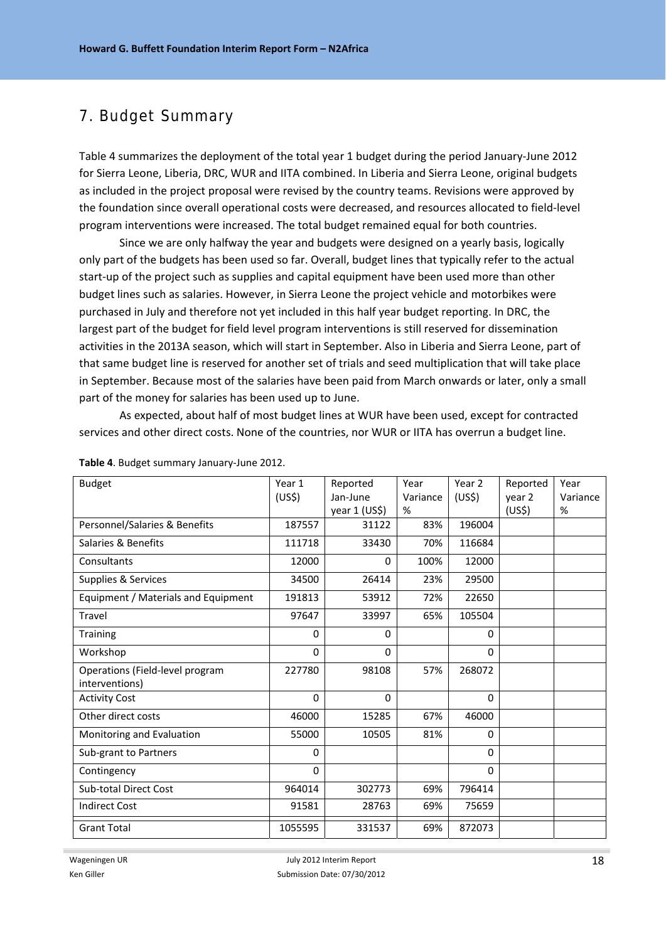### 7. Budget Summary

Table 4 summarizes the deployment of the total year 1 budget during the period January‐June 2012 for Sierra Leone, Liberia, DRC, WUR and IITA combined. In Liberia and Sierra Leone, original budgets as included in the project proposal were revised by the country teams. Revisions were approved by the foundation since overall operational costs were decreased, and resources allocated to field-level program interventions were increased. The total budget remained equal for both countries.

Since we are only halfway the year and budgets were designed on a yearly basis, logically only part of the budgets has been used so far. Overall, budget lines that typically refer to the actual start-up of the project such as supplies and capital equipment have been used more than other budget lines such as salaries. However, in Sierra Leone the project vehicle and motorbikes were purchased in July and therefore not yet included in this half year budget reporting. In DRC, the largest part of the budget for field level program interventions is still reserved for dissemination activities in the 2013A season, which will start in September. Also in Liberia and Sierra Leone, part of that same budget line is reserved for another set of trials and seed multiplication that will take place in September. Because most of the salaries have been paid from March onwards or later, only a small part of the money for salaries has been used up to June.

As expected, about half of most budget lines at WUR have been used, except for contracted services and other direct costs. None of the countries, nor WUR or IITA has overrun a budget line.

| <b>Budget</b>                       | Year 1             | Reported      | Year     | Year 2             | Reported           | Year     |
|-------------------------------------|--------------------|---------------|----------|--------------------|--------------------|----------|
|                                     | (US <sup>5</sup> ) | Jan-June      | Variance | (US <sup>5</sup> ) | year 2             | Variance |
|                                     |                    | year 1 (US\$) | %        |                    | (US <sup>5</sup> ) | %        |
| Personnel/Salaries & Benefits       | 187557             | 31122         | 83%      | 196004             |                    |          |
| Salaries & Benefits                 | 111718             | 33430         | 70%      | 116684             |                    |          |
| Consultants                         | 12000              | 0             | 100%     | 12000              |                    |          |
| Supplies & Services                 | 34500              | 26414         | 23%      | 29500              |                    |          |
| Equipment / Materials and Equipment | 191813             | 53912         | 72%      | 22650              |                    |          |
| Travel                              | 97647              | 33997         | 65%      | 105504             |                    |          |
| <b>Training</b>                     | 0                  | 0             |          | $\Omega$           |                    |          |
| Workshop                            | 0                  | $\Omega$      |          | $\Omega$           |                    |          |
| Operations (Field-level program     | 227780             | 98108         | 57%      | 268072             |                    |          |
| interventions)                      |                    |               |          |                    |                    |          |
| <b>Activity Cost</b>                | 0                  | 0             |          | 0                  |                    |          |
| Other direct costs                  | 46000              | 15285         | 67%      | 46000              |                    |          |
| Monitoring and Evaluation           | 55000              | 10505         | 81%      | $\Omega$           |                    |          |
| Sub-grant to Partners               | 0                  |               |          | $\Omega$           |                    |          |
| Contingency                         | 0                  |               |          | $\Omega$           |                    |          |
| Sub-total Direct Cost               | 964014             | 302773        | 69%      | 796414             |                    |          |
| <b>Indirect Cost</b>                | 91581              | 28763         | 69%      | 75659              |                    |          |
| <b>Grant Total</b>                  | 1055595            | 331537        | 69%      | 872073             |                    |          |

#### **Table 4**. Budget summary January‐June 2012.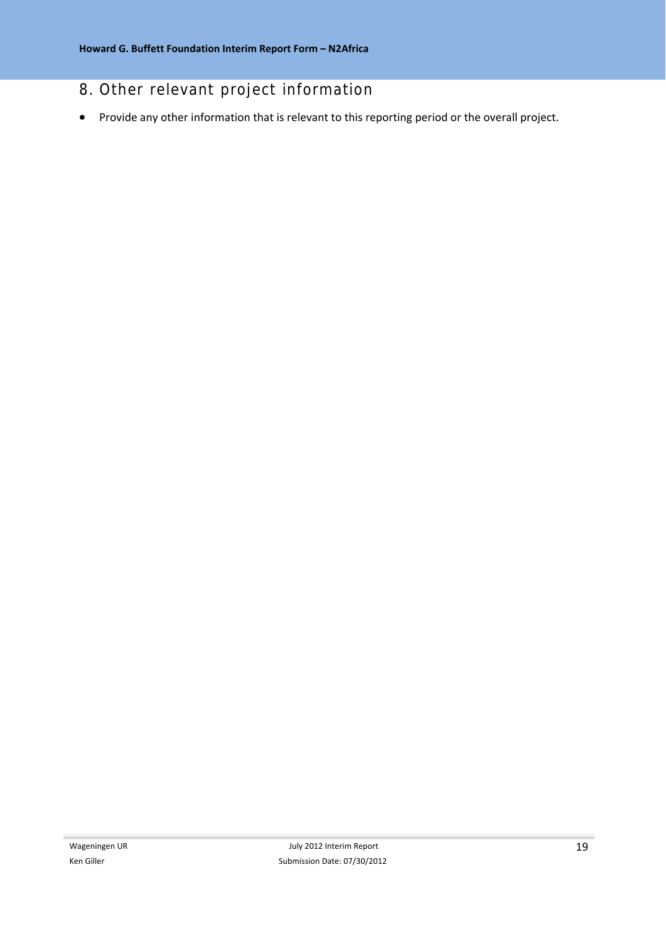# 8. Other relevant project information

Provide any other information that is relevant to this reporting period or the overall project.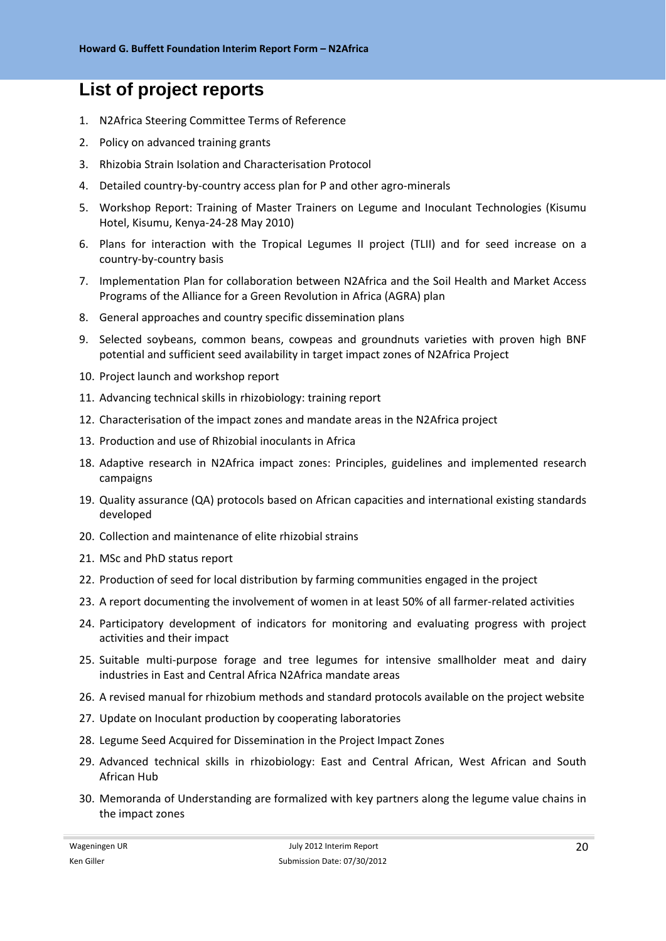# **List of project reports**

- 1. N2Africa Steering Committee Terms of Reference
- 2. Policy on advanced training grants
- 3. Rhizobia Strain Isolation and Characterisation Protocol
- 4. Detailed country-by-country access plan for P and other agro-minerals
- 5. Workshop Report: Training of Master Trainers on Legume and Inoculant Technologies (Kisumu Hotel, Kisumu, Kenya‐24‐28 May 2010)
- 6. Plans for interaction with the Tropical Legumes II project (TLII) and for seed increase on a country‐by‐country basis
- 7. Implementation Plan for collaboration between N2Africa and the Soil Health and Market Access Programs of the Alliance for a Green Revolution in Africa (AGRA) plan
- 8. General approaches and country specific dissemination plans
- 9. Selected soybeans, common beans, cowpeas and groundnuts varieties with proven high BNF potential and sufficient seed availability in target impact zones of N2Africa Project
- 10. Project launch and workshop report
- 11. Advancing technical skills in rhizobiology: training report
- 12. Characterisation of the impact zones and mandate areas in the N2Africa project
- 13. Production and use of Rhizobial inoculants in Africa
- 18. Adaptive research in N2Africa impact zones: Principles, guidelines and implemented research campaigns
- 19. Quality assurance (QA) protocols based on African capacities and international existing standards developed
- 20. Collection and maintenance of elite rhizobial strains
- 21. MSc and PhD status report
- 22. Production of seed for local distribution by farming communities engaged in the project
- 23. A report documenting the involvement of women in at least 50% of all farmer‐related activities
- 24. Participatory development of indicators for monitoring and evaluating progress with project activities and their impact
- 25. Suitable multi‐purpose forage and tree legumes for intensive smallholder meat and dairy industries in East and Central Africa N2Africa mandate areas
- 26. A revised manual for rhizobium methods and standard protocols available on the project website
- 27. Update on Inoculant production by cooperating laboratories
- 28. Legume Seed Acquired for Dissemination in the Project Impact Zones
- 29. Advanced technical skills in rhizobiology: East and Central African, West African and South African Hub
- 30. Memoranda of Understanding are formalized with key partners along the legume value chains in the impact zones